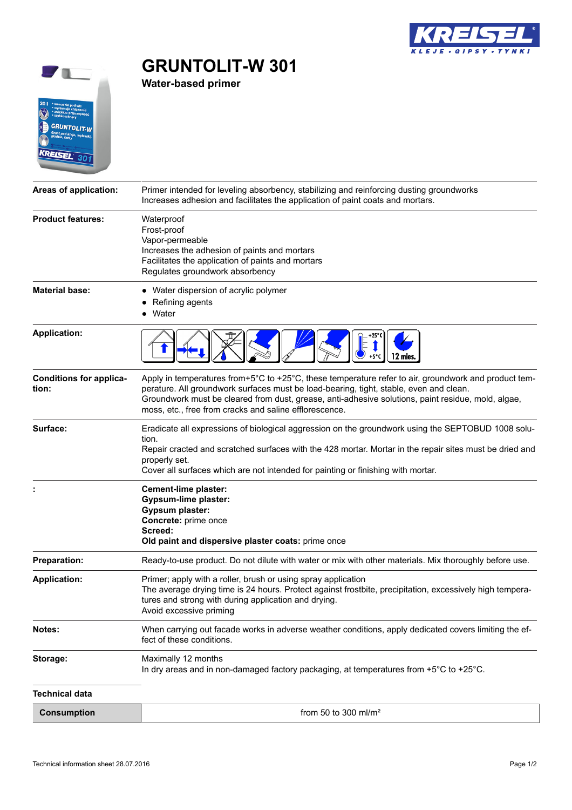

## **State of the State**  $\int$  $20$  $\ddot{\odot}$  $\widetilde{\mathbb{A}}$ **GRUNTOLIT-W** nt pod klo<br><sup>Izje,</sup> farhu KREISEL  $301$

**GRUNTOLIT-W 301**

**Water-based primer**

| Areas of application:                   | Primer intended for leveling absorbency, stabilizing and reinforcing dusting groundworks<br>Increases adhesion and facilitates the application of paint coats and mortars.                                                                                                                                                                                     |
|-----------------------------------------|----------------------------------------------------------------------------------------------------------------------------------------------------------------------------------------------------------------------------------------------------------------------------------------------------------------------------------------------------------------|
| <b>Product features:</b>                | Waterproof<br>Frost-proof<br>Vapor-permeable<br>Increases the adhesion of paints and mortars<br>Facilitates the application of paints and mortars<br>Regulates groundwork absorbency                                                                                                                                                                           |
| <b>Material base:</b>                   | • Water dispersion of acrylic polymer<br>Refining agents<br>Water                                                                                                                                                                                                                                                                                              |
| <b>Application:</b>                     |                                                                                                                                                                                                                                                                                                                                                                |
| <b>Conditions for applica-</b><br>tion: | Apply in temperatures from+5°C to +25°C, these temperature refer to air, groundwork and product tem-<br>perature. All groundwork surfaces must be load-bearing, tight, stable, even and clean.<br>Groundwork must be cleared from dust, grease, anti-adhesive solutions, paint residue, mold, algae,<br>moss, etc., free from cracks and saline efflorescence. |
| Surface:                                | Eradicate all expressions of biological aggression on the groundwork using the SEPTOBUD 1008 solu-<br>tion.<br>Repair cracted and scratched surfaces with the 428 mortar. Mortar in the repair sites must be dried and<br>properly set.<br>Cover all surfaces which are not intended for painting or finishing with mortar.                                    |
|                                         | Cement-lime plaster:<br><b>Gypsum-lime plaster:</b><br><b>Gypsum plaster:</b><br>Concrete: prime once<br>Screed:<br>Old paint and dispersive plaster coats: prime once                                                                                                                                                                                         |
| <b>Preparation:</b>                     | Ready-to-use product. Do not dilute with water or mix with other materials. Mix thoroughly before use.                                                                                                                                                                                                                                                         |
| <b>Application:</b>                     | Primer; apply with a roller, brush or using spray application<br>The average drying time is 24 hours. Protect against frostbite, precipitation, excessively high tempera-<br>tures and strong with during application and drying.<br>Avoid excessive priming                                                                                                   |
| Notes:                                  | When carrying out facade works in adverse weather conditions, apply dedicated covers limiting the ef-<br>fect of these conditions.                                                                                                                                                                                                                             |
| Storage:                                | Maximally 12 months<br>In dry areas and in non-damaged factory packaging, at temperatures from +5°C to +25°C.                                                                                                                                                                                                                                                  |
| <b>Technical data</b>                   |                                                                                                                                                                                                                                                                                                                                                                |
| <b>Consumption</b>                      | from 50 to 300 ml/m <sup>2</sup>                                                                                                                                                                                                                                                                                                                               |